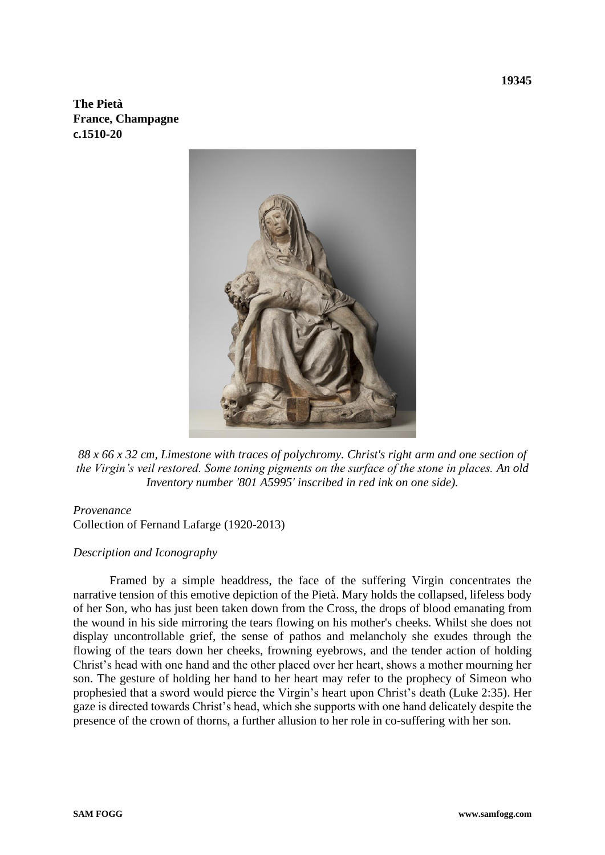**The Pietà France, Champagne c.1510-20**



*88 x 66 x 32 cm, Limestone with traces of polychromy. Christ's right arm and one section of the Virgin's veil restored. Some toning pigments on the surface of the stone in places. An old Inventory number '801 A5995' inscribed in red ink on one side).*

## *Provenance*

Collection of Fernand Lafarge (1920-2013)

## *Description and Iconography*

Framed by a simple headdress, the face of the suffering Virgin concentrates the narrative tension of this emotive depiction of the Pietà. Mary holds the collapsed, lifeless body of her Son, who has just been taken down from the Cross, the drops of blood emanating from the wound in his side mirroring the tears flowing on his mother's cheeks. Whilst she does not display uncontrollable grief, the sense of pathos and melancholy she exudes through the flowing of the tears down her cheeks, frowning eyebrows, and the tender action of holding Christ's head with one hand and the other placed over her heart, shows a mother mourning her son. The gesture of holding her hand to her heart may refer to the prophecy of Simeon who prophesied that a sword would pierce the Virgin's heart upon Christ's death (Luke 2:35). Her gaze is directed towards Christ's head, which she supports with one hand delicately despite the presence of the crown of thorns, a further allusion to her role in co-suffering with her son.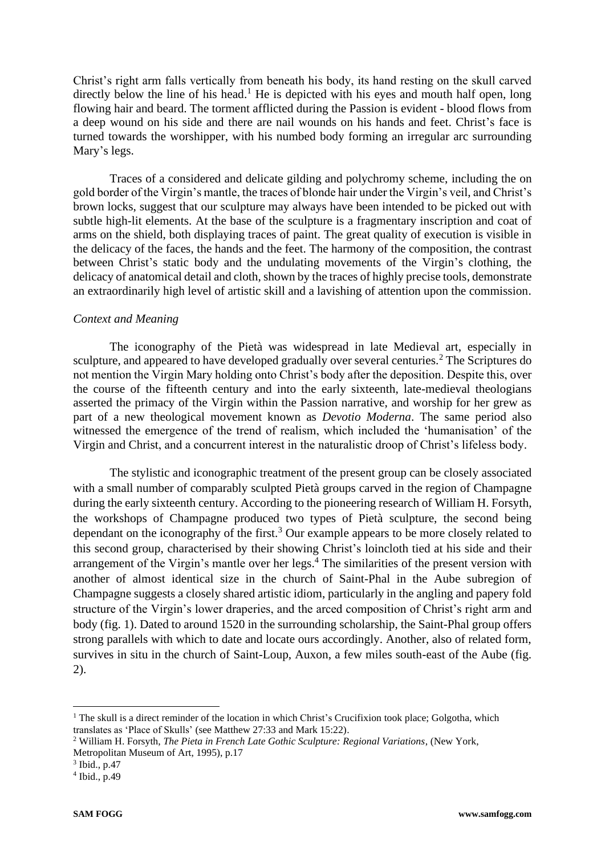Christ's right arm falls vertically from beneath his body, its hand resting on the skull carved directly below the line of his head.<sup>1</sup> He is depicted with his eyes and mouth half open, long flowing hair and beard. The torment afflicted during the Passion is evident - blood flows from a deep wound on his side and there are nail wounds on his hands and feet. Christ's face is turned towards the worshipper, with his numbed body forming an irregular arc surrounding Mary's legs.

Traces of a considered and delicate gilding and polychromy scheme, including the on gold border of the Virgin's mantle, the traces of blonde hair under the Virgin's veil, and Christ's brown locks, suggest that our sculpture may always have been intended to be picked out with subtle high-lit elements. At the base of the sculpture is a fragmentary inscription and coat of arms on the shield, both displaying traces of paint. The great quality of execution is visible in the delicacy of the faces, the hands and the feet. The harmony of the composition, the contrast between Christ's static body and the undulating movements of the Virgin's clothing, the delicacy of anatomical detail and cloth, shown by the traces of highly precise tools, demonstrate an extraordinarily high level of artistic skill and a lavishing of attention upon the commission.

## *Context and Meaning*

The iconography of the Pietà was widespread in late Medieval art, especially in sculpture, and appeared to have developed gradually over several centuries.<sup>2</sup> The Scriptures do not mention the Virgin Mary holding onto Christ's body after the deposition. Despite this, over the course of the fifteenth century and into the early sixteenth, late-medieval theologians asserted the primacy of the Virgin within the Passion narrative, and worship for her grew as part of a new theological movement known as *Devotio Moderna*. The same period also witnessed the emergence of the trend of realism, which included the 'humanisation' of the Virgin and Christ, and a concurrent interest in the naturalistic droop of Christ's lifeless body.

The stylistic and iconographic treatment of the present group can be closely associated with a small number of comparably sculpted Pietà groups carved in the region of Champagne during the early sixteenth century. According to the pioneering research of William H. Forsyth, the workshops of Champagne produced two types of Pietà sculpture, the second being dependant on the iconography of the first.<sup>3</sup> Our example appears to be more closely related to this second group, characterised by their showing Christ's loincloth tied at his side and their arrangement of the Virgin's mantle over her legs. <sup>4</sup> The similarities of the present version with another of almost identical size in the church of Saint-Phal in the Aube subregion of Champagne suggests a closely shared artistic idiom, particularly in the angling and papery fold structure of the Virgin's lower draperies, and the arced composition of Christ's right arm and body (fig. 1). Dated to around 1520 in the surrounding scholarship, the Saint-Phal group offers strong parallels with which to date and locate ours accordingly. Another, also of related form, survives in situ in the church of Saint-Loup, Auxon, a few miles south-east of the Aube (fig. 2).

<sup>&</sup>lt;sup>1</sup> The skull is a direct reminder of the location in which Christ's Crucifixion took place; Golgotha, which translates as 'Place of Skulls' (see Matthew 27:33 and Mark 15:22).

<sup>2</sup> William H. Forsyth, *The Pieta in French Late Gothic Sculpture: Regional Variations*, (New York, Metropolitan Museum of Art, 1995), p.17

<sup>3</sup> Ibid., p.47

<sup>4</sup> Ibid., p.49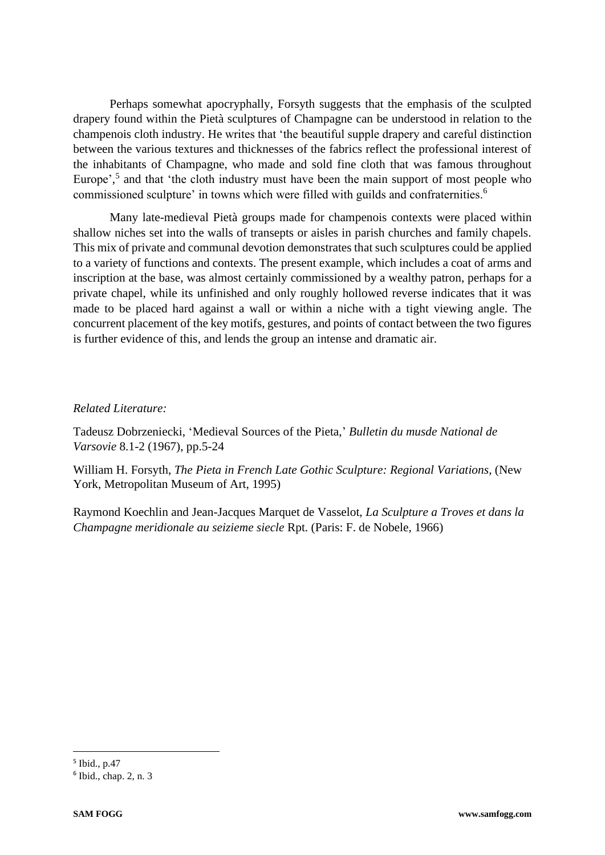Perhaps somewhat apocryphally, Forsyth suggests that the emphasis of the sculpted drapery found within the Pietà sculptures of Champagne can be understood in relation to the champenois cloth industry. He writes that 'the beautiful supple drapery and careful distinction between the various textures and thicknesses of the fabrics reflect the professional interest of the inhabitants of Champagne, who made and sold fine cloth that was famous throughout Europe',<sup>5</sup> and that 'the cloth industry must have been the main support of most people who commissioned sculpture' in towns which were filled with guilds and confraternities.<sup>6</sup>

Many late-medieval Pietà groups made for champenois contexts were placed within shallow niches set into the walls of transepts or aisles in parish churches and family chapels. This mix of private and communal devotion demonstrates that such sculptures could be applied to a variety of functions and contexts. The present example, which includes a coat of arms and inscription at the base, was almost certainly commissioned by a wealthy patron, perhaps for a private chapel, while its unfinished and only roughly hollowed reverse indicates that it was made to be placed hard against a wall or within a niche with a tight viewing angle. The concurrent placement of the key motifs, gestures, and points of contact between the two figures is further evidence of this, and lends the group an intense and dramatic air.

## *Related Literature:*

Tadeusz Dobrzeniecki, 'Medieval Sources of the Pieta,' *Bulletin du musde National de Varsovie* 8.1-2 (1967), pp.5-24

William H. Forsyth, *The Pieta in French Late Gothic Sculpture: Regional Variations*, (New York, Metropolitan Museum of Art, 1995)

Raymond Koechlin and Jean-Jacques Marquet de Vasselot, *La Sculpture a Troves et dans la Champagne meridionale au seizieme siecle* Rpt. (Paris: F. de Nobele, 1966)

<sup>5</sup> Ibid., p.47

<sup>6</sup> Ibid., chap. 2, n. 3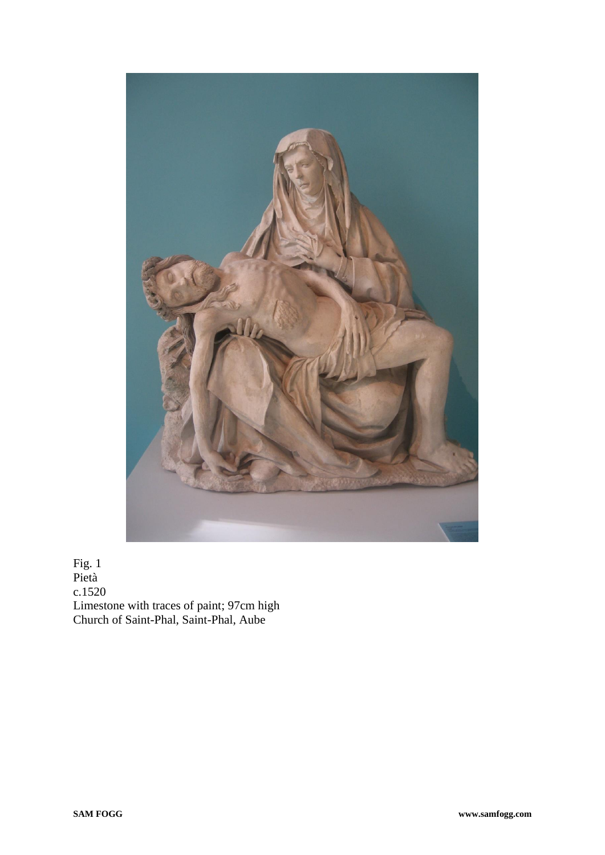

Fig. 1 Pietà c.1520 Limestone with traces of paint; 97cm high Church of Saint-Phal, Saint-Phal, Aube